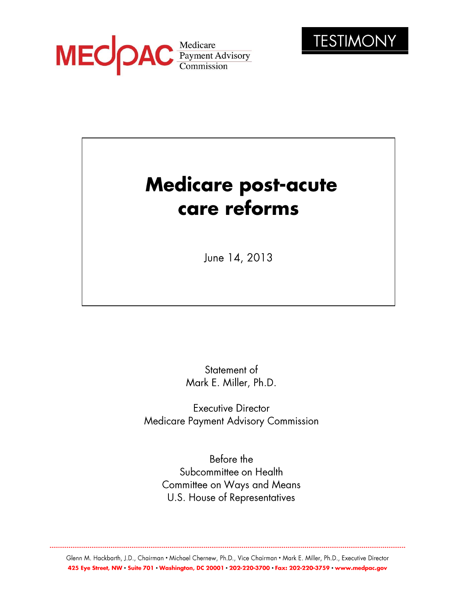



# **Medicare post-acute** care reforms

June 14, 2013

Statement of Mark E. Miller, Ph.D.

**Executive Director** Medicare Payment Advisory Commission

Before the Subcommittee on Health **Committee on Ways and Means** U.S. House of Representatives

Glenn M. Hackbarth, J.D., Chairman • Michael Chernew, Ph.D., Vice Chairman • Mark E. Miller, Ph.D., Executive Director 425 Eye Street, NW · Suite 701 · Washington, DC 20001 · 202-220-3700 · Fax: 202-220-3759 · www.medpac.gov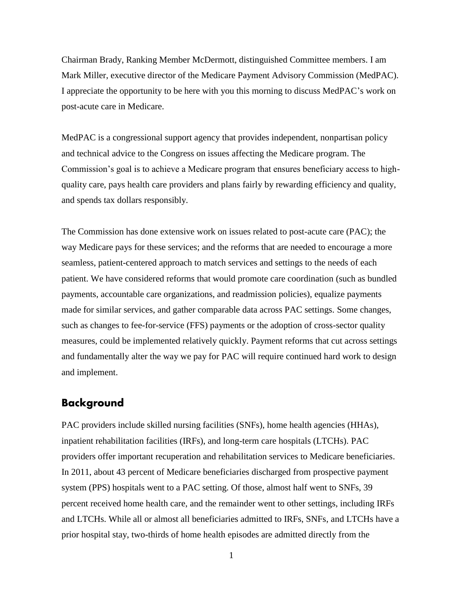Chairman Brady, Ranking Member McDermott, distinguished Committee members. I am Mark Miller, executive director of the Medicare Payment Advisory Commission (MedPAC). I appreciate the opportunity to be here with you this morning to discuss MedPAC's work on post-acute care in Medicare.

MedPAC is a congressional support agency that provides independent, nonpartisan policy and technical advice to the Congress on issues affecting the Medicare program. The Commission's goal is to achieve a Medicare program that ensures beneficiary access to highquality care, pays health care providers and plans fairly by rewarding efficiency and quality, and spends tax dollars responsibly.

The Commission has done extensive work on issues related to post-acute care (PAC); the way Medicare pays for these services; and the reforms that are needed to encourage a more seamless, patient-centered approach to match services and settings to the needs of each patient. We have considered reforms that would promote care coordination (such as bundled payments, accountable care organizations, and readmission policies), equalize payments made for similar services, and gather comparable data across PAC settings. Some changes, such as changes to fee-for-service (FFS) payments or the adoption of cross-sector quality measures, could be implemented relatively quickly. Payment reforms that cut across settings and fundamentally alter the way we pay for PAC will require continued hard work to design and implement.

## **Background**

PAC providers include skilled nursing facilities (SNFs), home health agencies (HHAs), inpatient rehabilitation facilities (IRFs), and long-term care hospitals (LTCHs). PAC providers offer important recuperation and rehabilitation services to Medicare beneficiaries. In 2011, about 43 percent of Medicare beneficiaries discharged from prospective payment system (PPS) hospitals went to a PAC setting. Of those, almost half went to SNFs, 39 percent received home health care, and the remainder went to other settings, including IRFs and LTCHs. While all or almost all beneficiaries admitted to IRFs, SNFs, and LTCHs have a prior hospital stay, two-thirds of home health episodes are admitted directly from the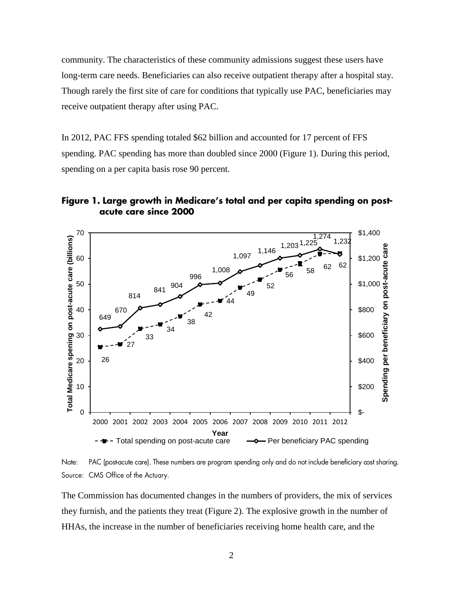community. The characteristics of these community admissions suggest these users have long-term care needs. Beneficiaries can also receive outpatient therapy after a hospital stay. Though rarely the first site of care for conditions that typically use PAC, beneficiaries may receive outpatient therapy after using PAC.

In 2012, PAC FFS spending totaled \$62 billion and accounted for 17 percent of FFS spending. PAC spending has more than doubled since 2000 (Figure 1). During this period, spending on a per capita basis rose 90 percent.

Figure 1. Large growth in Medicare's total and per capita spending on postacute care since 2000



Note: PAC (postacute care). These numbers are program spending only and do not include beneficiary cost sharing. Source: CMS Office of the Actuary.

The Commission has documented changes in the numbers of providers, the mix of services they furnish, and the patients they treat (Figure 2). The explosive growth in the number of HHAs, the increase in the number of beneficiaries receiving home health care, and the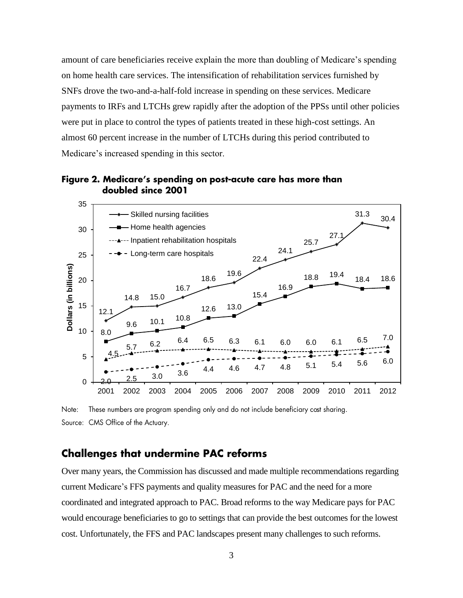amount of care beneficiaries receive explain the more than doubling of Medicare's spending on home health care services. The intensification of rehabilitation services furnished by SNFs drove the two-and-a-half-fold increase in spending on these services. Medicare payments to IRFs and LTCHs grew rapidly after the adoption of the PPSs until other policies were put in place to control the types of patients treated in these high-cost settings. An almost 60 percent increase in the number of LTCHs during this period contributed to Medicare's increased spending in this sector.



Figure 2. Medicare's spending on post-acute care has more than doubled since 2001

These numbers are program spending only and do not include beneficiary cost sharing. Note: Source: CMS Office of the Actuary.

## **Challenges that undermine PAC reforms**

Over many years, the Commission has discussed and made multiple recommendations regarding current Medicare's FFS payments and quality measures for PAC and the need for a more coordinated and integrated approach to PAC. Broad reforms to the way Medicare pays for PAC would encourage beneficiaries to go to settings that can provide the best outcomes for the lowest cost. Unfortunately, the FFS and PAC landscapes present many challenges to such reforms.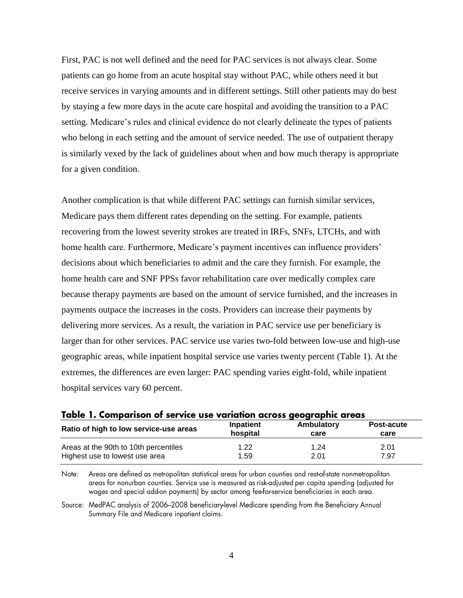First, PAC is not well defined and the need for PAC services is not always clear. Some patients can go home from an acute hospital stay without PAC, while others need it but receive services in varying amounts and in different settings. Still other patients may do best by staying a few more days in the acute care hospital and avoiding the transition to a PAC setting. Medicare's rules and clinical evidence do not clearly delineate the types of patients who belong in each setting and the amount of service needed. The use of outpatient therapy is similarly vexed by the lack of guidelines about when and how much therapy is appropriate for a given condition.

Another complication is that while different PAC settings can furnish similar services, Medicare pays them different rates depending on the setting. For example, patients recovering from the lowest severity strokes are treated in IRFs, SNFs, LTCHs, and with home health care. Furthermore, Medicare's payment incentives can influence providers' decisions about which beneficiaries to admit and the care they furnish. For example, the home health care and SNF PPSs favor rehabilitation care over medically complex care because therapy payments are based on the amount of service furnished, and the increases in payments outpace the increases in the costs. Providers can increase their payments by delivering more services. As a result, the variation in PAC service use per beneficiary is larger than for other services. PAC service use varies two-fold between low-use and high-use geographic areas, while inpatient hospital service use varies twenty percent (Table 1). At the extremes, the differences are even larger: PAC spending varies eight-fold, while inpatient hospital services vary 60 percent.

| <b>TADIC 1. COMPUTISOR OF SCI VICE USE VALIATION ACTOSS GEOGLAPHIC GLEGS</b> |                  |            |            |
|------------------------------------------------------------------------------|------------------|------------|------------|
| Ratio of high to low service-use areas                                       | <b>Inpatient</b> | Ambulatory | Post-acute |
|                                                                              | hospital         | care       | care       |
| Areas at the 90th to 10th percentiles                                        | 1.22             | 1.24       | 2.01       |
| Highest use to lowest use area                                               | 1.59             | 2.01       | 7.97       |

Table 1. Comparison of service use variation across geographic greas

Areas are defined as metropolitan statistical areas for urban counties and rest-of-state nonmetropolitan Note: areas for nonurban counties. Service use is measured as risk-adjusted per capita spending (adjusted for wages and special add-on payments) by sector among fee-for-service beneficiaries in each area.

Source: MedPAC analysis of 2006-2008 beneficiary-level Medicare spending from the Beneficiary Annual Summary File and Medicare inpatient claims.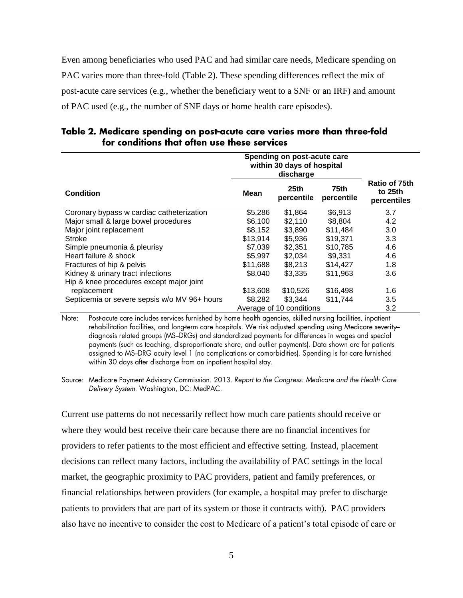Even among beneficiaries who used PAC and had similar care needs, Medicare spending on PAC varies more than three-fold (Table 2). These spending differences reflect the mix of post-acute care services (e.g., whether the beneficiary went to a SNF or an IRF) and amount of PAC used (e.g., the number of SNF days or home health care episodes).

|                                              | Spending on post-acute care<br>within 30 days of hospital<br>discharge |                    |                    |                                         |
|----------------------------------------------|------------------------------------------------------------------------|--------------------|--------------------|-----------------------------------------|
| <b>Condition</b>                             | <b>Mean</b>                                                            | 25th<br>percentile | 75th<br>percentile | Ratio of 75th<br>to 25th<br>percentiles |
| Coronary bypass w cardiac catheterization    | \$5,286                                                                | \$1,864            | \$6,913            | 3.7                                     |
| Major small & large bowel procedures         | \$6,100                                                                | \$2,110            | \$8,804            | 4.2                                     |
| Major joint replacement                      | \$8,152                                                                | \$3,890            | \$11,484           | 3.0                                     |
| <b>Stroke</b>                                | \$13,914                                                               | \$5,936            | \$19,371           | 3.3                                     |
| Simple pneumonia & pleurisy                  | \$7,039                                                                | \$2,351            | \$10,785           | 4.6                                     |
| Heart failure & shock                        | \$5,997                                                                | \$2,034            | \$9,331            | 4.6                                     |
| Fractures of hip & pelvis                    | \$11,688                                                               | \$8,213            | \$14,427           | 1.8                                     |
| Kidney & urinary tract infections            | \$8,040                                                                | \$3,335            | \$11,963           | 3.6                                     |
| Hip & knee procedures except major joint     |                                                                        |                    |                    |                                         |
| replacement                                  | \$13,608                                                               | \$10,526           | \$16,498           | 1.6                                     |
| Septicemia or severe sepsis w/o MV 96+ hours | \$8,282                                                                | \$3,344            | \$11,744           | 3.5                                     |
|                                              | Average of 10 conditions                                               |                    |                    | 3.2                                     |

Table 2. Medicare spending on post-acute care varies more than three-fold for conditions that often use these services

Post-acute care includes services furnished by home health agencies, skilled nursing facilities, inpatient Note: rehabilitation facilities, and long-term care hospitals. We risk adjusted spending using Medicare severitydiagnosis related groups (MS-DRGs) and standardized payments for differences in wages and special payments (such as teaching, disproportionate share, and outlier payments). Data shown are for patients assigned to MS-DRG acuity level 1 (no complications or comorbidities). Spending is for care furnished within 30 days after discharge from an inpatient hospital stay.

Source: Medicare Payment Advisory Commission. 2013. Report to the Congress: Medicare and the Health Care Delivery System. Washington, DC: MedPAC.

Current use patterns do not necessarily reflect how much care patients should receive or where they would best receive their care because there are no financial incentives for providers to refer patients to the most efficient and effective setting. Instead, placement decisions can reflect many factors, including the availability of PAC settings in the local market, the geographic proximity to PAC providers, patient and family preferences, or financial relationships between providers (for example, a hospital may prefer to discharge patients to providers that are part of its system or those it contracts with). PAC providers also have no incentive to consider the cost to Medicare of a patient's total episode of care or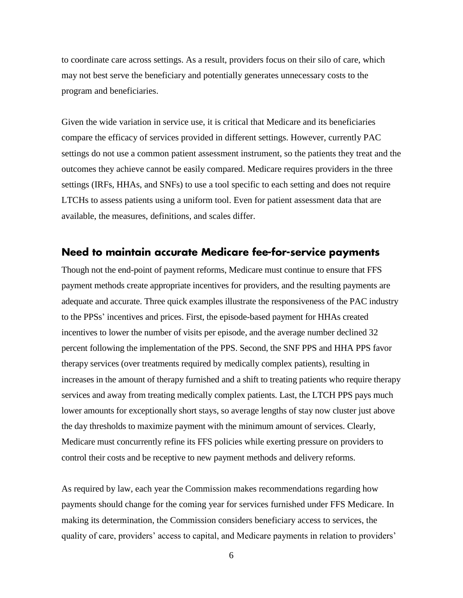to coordinate care across settings. As a result, providers focus on their silo of care, which may not best serve the beneficiary and potentially generates unnecessary costs to the program and beneficiaries.

Given the wide variation in service use, it is critical that Medicare and its beneficiaries compare the efficacy of services provided in different settings. However, currently PAC settings do not use a common patient assessment instrument, so the patients they treat and the outcomes they achieve cannot be easily compared. Medicare requires providers in the three settings (IRFs, HHAs, and SNFs) to use a tool specific to each setting and does not require LTCHs to assess patients using a uniform tool. Even for patient assessment data that are available, the measures, definitions, and scales differ.

#### Need to maintain accurate Medicare fee-for-service payments

Though not the end-point of payment reforms, Medicare must continue to ensure that FFS payment methods create appropriate incentives for providers, and the resulting payments are adequate and accurate. Three quick examples illustrate the responsiveness of the PAC industry to the PPSs' incentives and prices. First, the episode-based payment for HHAs created incentives to lower the number of visits per episode, and the average number declined 32 percent following the implementation of the PPS. Second, the SNF PPS and HHA PPS favor therapy services (over treatments required by medically complex patients), resulting in increases in the amount of therapy furnished and a shift to treating patients who require therapy services and away from treating medically complex patients. Last, the LTCH PPS pays much lower amounts for exceptionally short stays, so average lengths of stay now cluster just above the day thresholds to maximize payment with the minimum amount of services. Clearly, Medicare must concurrently refine its FFS policies while exerting pressure on providers to control their costs and be receptive to new payment methods and delivery reforms.

As required by law, each year the Commission makes recommendations regarding how payments should change for the coming year for services furnished under FFS Medicare. In making its determination, the Commission considers beneficiary access to services, the quality of care, providers' access to capital, and Medicare payments in relation to providers'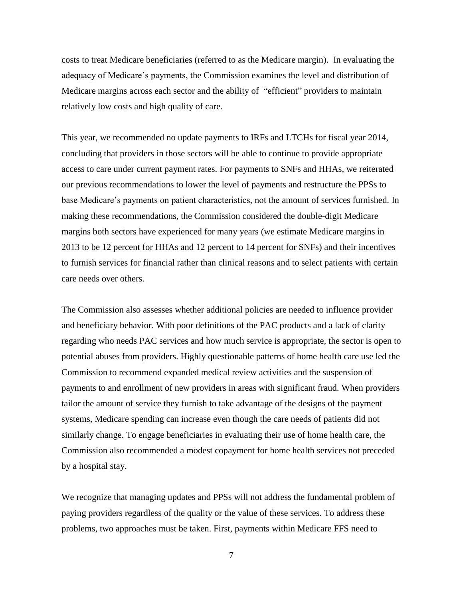costs to treat Medicare beneficiaries (referred to as the Medicare margin). In evaluating the adequacy of Medicare's payments, the Commission examines the level and distribution of Medicare margins across each sector and the ability of "efficient" providers to maintain relatively low costs and high quality of care.

This year, we recommended no update payments to IRFs and LTCHs for fiscal year 2014, concluding that providers in those sectors will be able to continue to provide appropriate access to care under current payment rates. For payments to SNFs and HHAs, we reiterated our previous recommendations to lower the level of payments and restructure the PPSs to base Medicare's payments on patient characteristics, not the amount of services furnished. In making these recommendations, the Commission considered the double-digit Medicare margins both sectors have experienced for many years (we estimate Medicare margins in 2013 to be 12 percent for HHAs and 12 percent to 14 percent for SNFs) and their incentives to furnish services for financial rather than clinical reasons and to select patients with certain care needs over others.

The Commission also assesses whether additional policies are needed to influence provider and beneficiary behavior. With poor definitions of the PAC products and a lack of clarity regarding who needs PAC services and how much service is appropriate, the sector is open to potential abuses from providers. Highly questionable patterns of home health care use led the Commission to recommend expanded medical review activities and the suspension of payments to and enrollment of new providers in areas with significant fraud. When providers tailor the amount of service they furnish to take advantage of the designs of the payment systems, Medicare spending can increase even though the care needs of patients did not similarly change. To engage beneficiaries in evaluating their use of home health care, the Commission also recommended a modest copayment for home health services not preceded by a hospital stay.

We recognize that managing updates and PPSs will not address the fundamental problem of paying providers regardless of the quality or the value of these services. To address these problems, two approaches must be taken. First, payments within Medicare FFS need to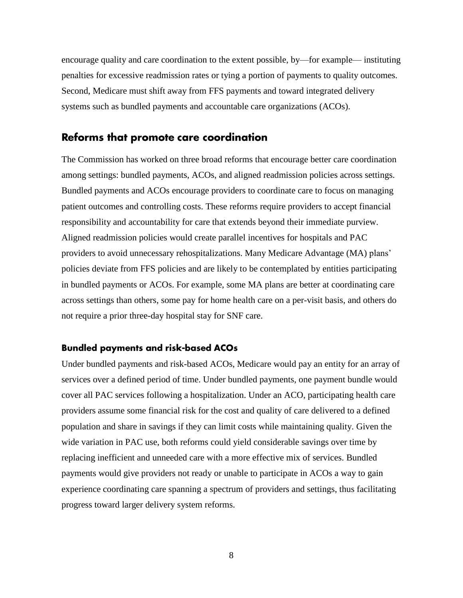encourage quality and care coordination to the extent possible, by—for example— instituting penalties for excessive readmission rates or tying a portion of payments to quality outcomes. Second, Medicare must shift away from FFS payments and toward integrated delivery systems such as bundled payments and accountable care organizations (ACOs).

### Reforms that promote care coordination

The Commission has worked on three broad reforms that encourage better care coordination among settings: bundled payments, ACOs, and aligned readmission policies across settings. Bundled payments and ACOs encourage providers to coordinate care to focus on managing patient outcomes and controlling costs. These reforms require providers to accept financial responsibility and accountability for care that extends beyond their immediate purview. Aligned readmission policies would create parallel incentives for hospitals and PAC providers to avoid unnecessary rehospitalizations. Many Medicare Advantage (MA) plans' policies deviate from FFS policies and are likely to be contemplated by entities participating in bundled payments or ACOs. For example, some MA plans are better at coordinating care across settings than others, some pay for home health care on a per-visit basis, and others do not require a prior three-day hospital stay for SNF care.

#### **Bundled payments and risk-based ACOs**

Under bundled payments and risk-based ACOs, Medicare would pay an entity for an array of services over a defined period of time. Under bundled payments, one payment bundle would cover all PAC services following a hospitalization. Under an ACO, participating health care providers assume some financial risk for the cost and quality of care delivered to a defined population and share in savings if they can limit costs while maintaining quality. Given the wide variation in PAC use, both reforms could yield considerable savings over time by replacing inefficient and unneeded care with a more effective mix of services. Bundled payments would give providers not ready or unable to participate in ACOs a way to gain experience coordinating care spanning a spectrum of providers and settings, thus facilitating progress toward larger delivery system reforms.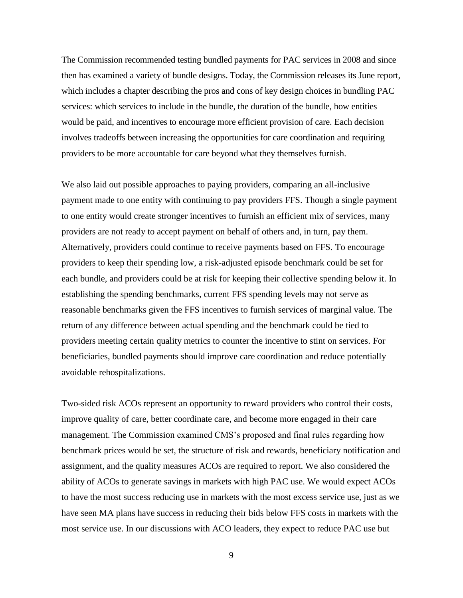The Commission recommended testing bundled payments for PAC services in 2008 and since then has examined a variety of bundle designs. Today, the Commission releases its June report, which includes a chapter describing the pros and cons of key design choices in bundling PAC services: which services to include in the bundle, the duration of the bundle, how entities would be paid, and incentives to encourage more efficient provision of care. Each decision involves tradeoffs between increasing the opportunities for care coordination and requiring providers to be more accountable for care beyond what they themselves furnish.

We also laid out possible approaches to paying providers, comparing an all-inclusive payment made to one entity with continuing to pay providers FFS. Though a single payment to one entity would create stronger incentives to furnish an efficient mix of services, many providers are not ready to accept payment on behalf of others and, in turn, pay them. Alternatively, providers could continue to receive payments based on FFS. To encourage providers to keep their spending low, a risk-adjusted episode benchmark could be set for each bundle, and providers could be at risk for keeping their collective spending below it. In establishing the spending benchmarks, current FFS spending levels may not serve as reasonable benchmarks given the FFS incentives to furnish services of marginal value. The return of any difference between actual spending and the benchmark could be tied to providers meeting certain quality metrics to counter the incentive to stint on services. For beneficiaries, bundled payments should improve care coordination and reduce potentially avoidable rehospitalizations.

Two-sided risk ACOs represent an opportunity to reward providers who control their costs, improve quality of care, better coordinate care, and become more engaged in their care management. The Commission examined CMS's proposed and final rules regarding how benchmark prices would be set, the structure of risk and rewards, beneficiary notification and assignment, and the quality measures ACOs are required to report. We also considered the ability of ACOs to generate savings in markets with high PAC use. We would expect ACOs to have the most success reducing use in markets with the most excess service use, just as we have seen MA plans have success in reducing their bids below FFS costs in markets with the most service use. In our discussions with ACO leaders, they expect to reduce PAC use but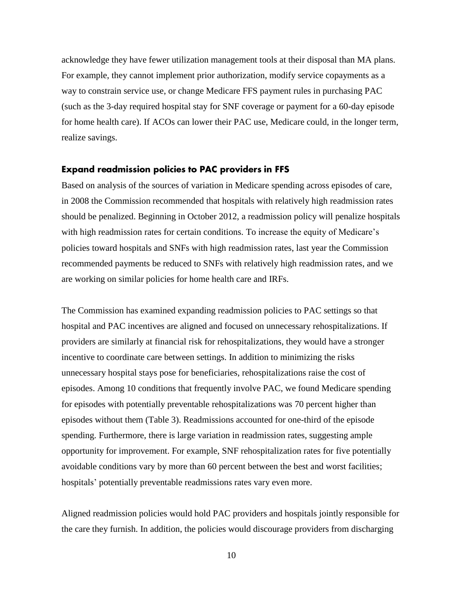acknowledge they have fewer utilization management tools at their disposal than MA plans. For example, they cannot implement prior authorization, modify service copayments as a way to constrain service use, or change Medicare FFS payment rules in purchasing PAC (such as the 3-day required hospital stay for SNF coverage or payment for a 60-day episode for home health care). If ACOs can lower their PAC use, Medicare could, in the longer term, realize savings.

#### **Expand readmission policies to PAC providers in FFS**

Based on analysis of the sources of variation in Medicare spending across episodes of care, in 2008 the Commission recommended that hospitals with relatively high readmission rates should be penalized. Beginning in October 2012, a readmission policy will penalize hospitals with high readmission rates for certain conditions. To increase the equity of Medicare's policies toward hospitals and SNFs with high readmission rates, last year the Commission recommended payments be reduced to SNFs with relatively high readmission rates, and we are working on similar policies for home health care and IRFs.

The Commission has examined expanding readmission policies to PAC settings so that hospital and PAC incentives are aligned and focused on unnecessary rehospitalizations. If providers are similarly at financial risk for rehospitalizations, they would have a stronger incentive to coordinate care between settings. In addition to minimizing the risks unnecessary hospital stays pose for beneficiaries, rehospitalizations raise the cost of episodes. Among 10 conditions that frequently involve PAC, we found Medicare spending for episodes with potentially preventable rehospitalizations was 70 percent higher than episodes without them (Table 3). Readmissions accounted for one-third of the episode spending. Furthermore, there is large variation in readmission rates, suggesting ample opportunity for improvement. For example, SNF rehospitalization rates for five potentially avoidable conditions vary by more than 60 percent between the best and worst facilities; hospitals' potentially preventable readmissions rates vary even more.

Aligned readmission policies would hold PAC providers and hospitals jointly responsible for the care they furnish. In addition, the policies would discourage providers from discharging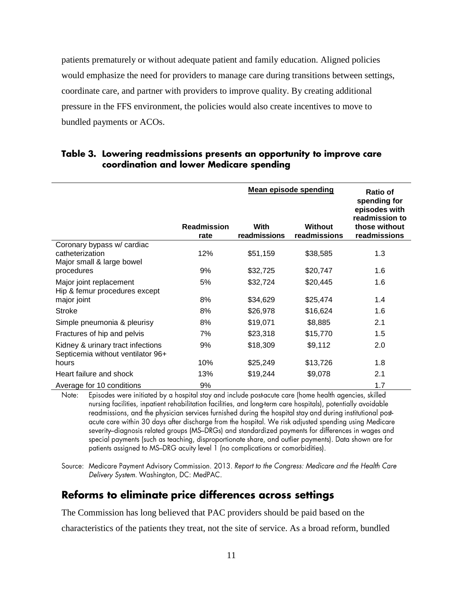patients prematurely or without adequate patient and family education. Aligned policies would emphasize the need for providers to manage care during transitions between settings, coordinate care, and partner with providers to improve quality. By creating additional pressure in the FFS environment, the policies would also create incentives to move to bundled payments or ACOs.

|                                                                            |                    | <b>Mean episode spending</b> | <b>Ratio of</b><br>spending for<br>episodes with<br>readmission to |               |
|----------------------------------------------------------------------------|--------------------|------------------------------|--------------------------------------------------------------------|---------------|
|                                                                            | <b>Readmission</b> | With                         | Without                                                            | those without |
|                                                                            | rate               | readmissions                 | readmissions                                                       | readmissions  |
| Coronary bypass w/ cardiac<br>catheterization<br>Major small & large bowel | 12%                | \$51,159                     | \$38,585                                                           | 1.3           |
| procedures                                                                 | 9%                 | \$32,725                     | \$20,747                                                           | 1.6           |
| Major joint replacement<br>Hip & femur procedures except                   | 5%                 | \$32,724                     | \$20,445                                                           | 1.6           |
| major joint                                                                | 8%                 | \$34,629                     | \$25,474                                                           | 1.4           |
| <b>Stroke</b>                                                              | 8%                 | \$26,978                     | \$16,624                                                           | 1.6           |
| Simple pneumonia & pleurisy                                                | 8%                 | \$19,071                     | \$8,885                                                            | 2.1           |
| Fractures of hip and pelvis                                                | 7%                 | \$23,318                     | \$15,770                                                           | 1.5           |
| Kidney & urinary tract infections<br>Septicemia without ventilator 96+     | 9%                 | \$18,309                     | \$9,112                                                            | 2.0           |
| hours                                                                      | 10%                | \$25,249                     | \$13,726                                                           | 1.8           |
| Heart failure and shock                                                    | 13%                | \$19,244                     | \$9,078                                                            | 2.1           |
| Average for 10 conditions                                                  | 9%                 |                              |                                                                    | 1.7           |

#### Table 3. Lowering readmissions presents an opportunity to improve care coordination and lower Medicare spending

Episodes were initiated by a hospital stay and include postacute care (home health agencies, skilled Note: nursing facilities, inpatient rehabilitation facilities, and long-term care hospitals), potentially avoidable readmissions, and the physician services furnished during the hospital stay and during institutional postacute care within 30 days after discharge from the hospital. We risk adjusted spending using Medicare severity-diagnosis related groups (MS-DRGs) and standardized payments for differences in wages and special payments (such as teaching, disproportionate share, and outlier payments). Data shown are for patients assigned to MS-DRG acuity level 1 (no complications or comorbidities).

Source: Medicare Payment Advisory Commission. 2013. Report to the Congress: Medicare and the Health Care Delivery System. Washington, DC: MedPAC.

## Reforms to eliminate price differences across settings

The Commission has long believed that PAC providers should be paid based on the

characteristics of the patients they treat, not the site of service. As a broad reform, bundled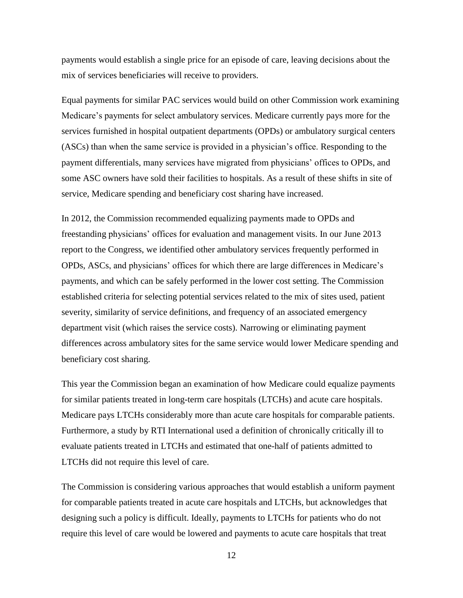payments would establish a single price for an episode of care, leaving decisions about the mix of services beneficiaries will receive to providers.

Equal payments for similar PAC services would build on other Commission work examining Medicare's payments for select ambulatory services. Medicare currently pays more for the services furnished in hospital outpatient departments (OPDs) or ambulatory surgical centers (ASCs) than when the same service is provided in a physician's office. Responding to the payment differentials, many services have migrated from physicians' offices to OPDs, and some ASC owners have sold their facilities to hospitals. As a result of these shifts in site of service, Medicare spending and beneficiary cost sharing have increased.

In 2012, the Commission recommended equalizing payments made to OPDs and freestanding physicians' offices for evaluation and management visits. In our June 2013 report to the Congress, we identified other ambulatory services frequently performed in OPDs, ASCs, and physicians' offices for which there are large differences in Medicare's payments, and which can be safely performed in the lower cost setting. The Commission established criteria for selecting potential services related to the mix of sites used, patient severity, similarity of service definitions, and frequency of an associated emergency department visit (which raises the service costs). Narrowing or eliminating payment differences across ambulatory sites for the same service would lower Medicare spending and beneficiary cost sharing.

This year the Commission began an examination of how Medicare could equalize payments for similar patients treated in long-term care hospitals (LTCHs) and acute care hospitals. Medicare pays LTCHs considerably more than acute care hospitals for comparable patients. Furthermore, a study by RTI International used a definition of chronically critically ill to evaluate patients treated in LTCHs and estimated that one-half of patients admitted to LTCHs did not require this level of care.

The Commission is considering various approaches that would establish a uniform payment for comparable patients treated in acute care hospitals and LTCHs, but acknowledges that designing such a policy is difficult. Ideally, payments to LTCHs for patients who do not require this level of care would be lowered and payments to acute care hospitals that treat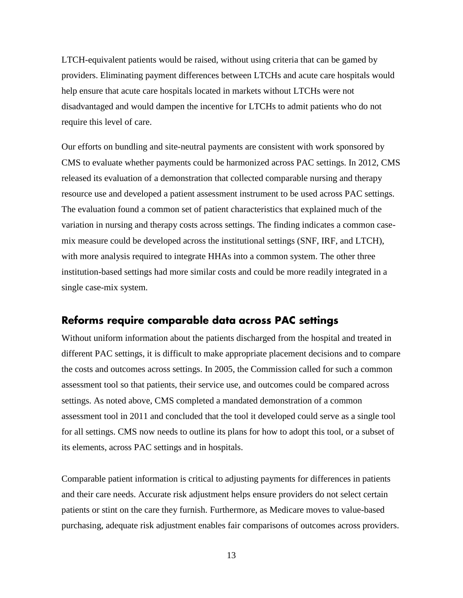LTCH-equivalent patients would be raised, without using criteria that can be gamed by providers. Eliminating payment differences between LTCHs and acute care hospitals would help ensure that acute care hospitals located in markets without LTCHs were not disadvantaged and would dampen the incentive for LTCHs to admit patients who do not require this level of care.

Our efforts on bundling and site-neutral payments are consistent with work sponsored by CMS to evaluate whether payments could be harmonized across PAC settings. In 2012, CMS released its evaluation of a demonstration that collected comparable nursing and therapy resource use and developed a patient assessment instrument to be used across PAC settings. The evaluation found a common set of patient characteristics that explained much of the variation in nursing and therapy costs across settings. The finding indicates a common casemix measure could be developed across the institutional settings (SNF, IRF, and LTCH), with more analysis required to integrate HHAs into a common system. The other three institution-based settings had more similar costs and could be more readily integrated in a single case-mix system.

## Reforms require comparable data across PAC settings

Without uniform information about the patients discharged from the hospital and treated in different PAC settings, it is difficult to make appropriate placement decisions and to compare the costs and outcomes across settings. In 2005, the Commission called for such a common assessment tool so that patients, their service use, and outcomes could be compared across settings. As noted above, CMS completed a mandated demonstration of a common assessment tool in 2011 and concluded that the tool it developed could serve as a single tool for all settings. CMS now needs to outline its plans for how to adopt this tool, or a subset of its elements, across PAC settings and in hospitals.

Comparable patient information is critical to adjusting payments for differences in patients and their care needs. Accurate risk adjustment helps ensure providers do not select certain patients or stint on the care they furnish. Furthermore, as Medicare moves to value-based purchasing, adequate risk adjustment enables fair comparisons of outcomes across providers.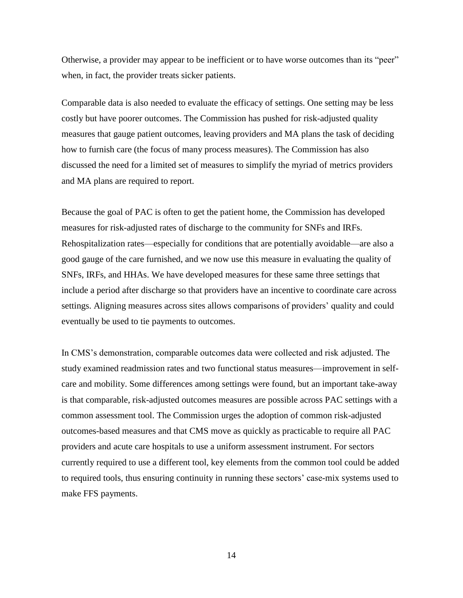Otherwise, a provider may appear to be inefficient or to have worse outcomes than its "peer" when, in fact, the provider treats sicker patients.

Comparable data is also needed to evaluate the efficacy of settings. One setting may be less costly but have poorer outcomes. The Commission has pushed for risk-adjusted quality measures that gauge patient outcomes, leaving providers and MA plans the task of deciding how to furnish care (the focus of many process measures). The Commission has also discussed the need for a limited set of measures to simplify the myriad of metrics providers and MA plans are required to report.

Because the goal of PAC is often to get the patient home, the Commission has developed measures for risk-adjusted rates of discharge to the community for SNFs and IRFs. Rehospitalization rates—especially for conditions that are potentially avoidable—are also a good gauge of the care furnished, and we now use this measure in evaluating the quality of SNFs, IRFs, and HHAs. We have developed measures for these same three settings that include a period after discharge so that providers have an incentive to coordinate care across settings. Aligning measures across sites allows comparisons of providers' quality and could eventually be used to tie payments to outcomes.

In CMS's demonstration, comparable outcomes data were collected and risk adjusted. The study examined readmission rates and two functional status measures—improvement in selfcare and mobility. Some differences among settings were found, but an important take-away is that comparable, risk-adjusted outcomes measures are possible across PAC settings with a common assessment tool. The Commission urges the adoption of common risk-adjusted outcomes-based measures and that CMS move as quickly as practicable to require all PAC providers and acute care hospitals to use a uniform assessment instrument. For sectors currently required to use a different tool, key elements from the common tool could be added to required tools, thus ensuring continuity in running these sectors' case-mix systems used to make FFS payments.